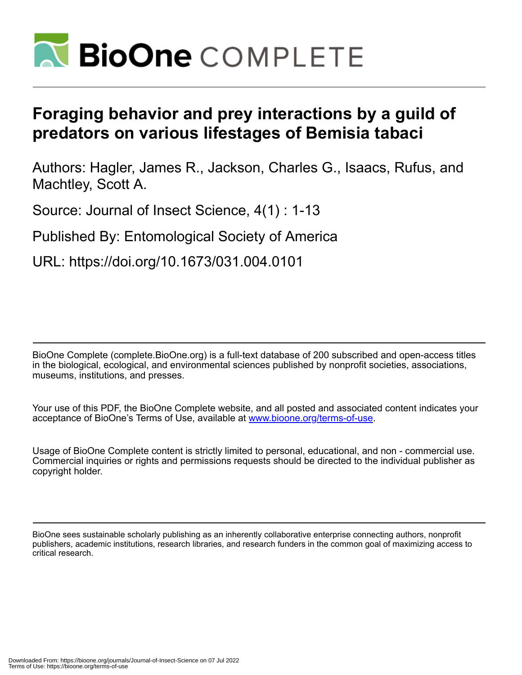

# **Foraging behavior and prey interactions by a guild of predators on various lifestages of Bemisia tabaci**

Authors: Hagler, James R., Jackson, Charles G., Isaacs, Rufus, and Machtley, Scott A.

Source: Journal of Insect Science, 4(1) : 1-13

Published By: Entomological Society of America

URL: https://doi.org/10.1673/031.004.0101

BioOne Complete (complete.BioOne.org) is a full-text database of 200 subscribed and open-access titles in the biological, ecological, and environmental sciences published by nonprofit societies, associations, museums, institutions, and presses.

Your use of this PDF, the BioOne Complete website, and all posted and associated content indicates your acceptance of BioOne's Terms of Use, available at www.bioone.org/terms-of-use.

Usage of BioOne Complete content is strictly limited to personal, educational, and non - commercial use. Commercial inquiries or rights and permissions requests should be directed to the individual publisher as copyright holder.

BioOne sees sustainable scholarly publishing as an inherently collaborative enterprise connecting authors, nonprofit publishers, academic institutions, research libraries, and research funders in the common goal of maximizing access to critical research.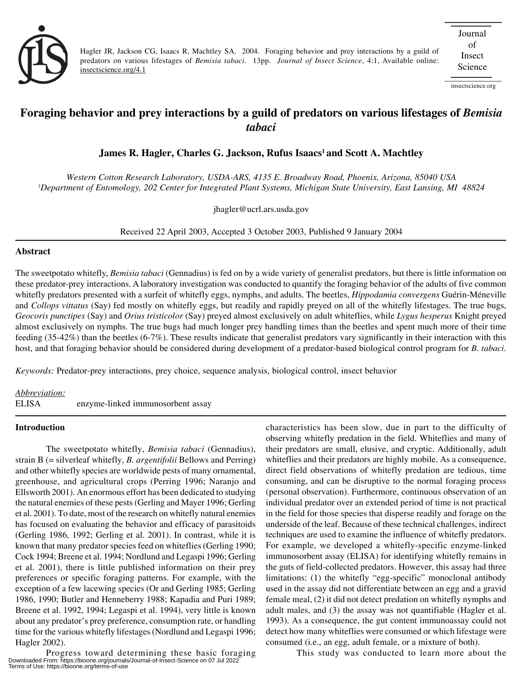

Hagler JR, Jackson CG, Isaacs R, Machtley SA. 2004. Foraging behavior and prey interactions by a guild of predators on various lifestages of *Bemisia tabaci*. 13pp. *Journal of Insect Science*, 4:1, Available online: insectscience.org/4.1

insectscience.org

## **Foraging behavior and prey interactions by a guild of predators on various lifestages of** *Bemisia tabaci*

**James R. Hagler, Charles G. Jackson, Rufus Isaacs<sup>1</sup> and Scott A. Machtley** 

*Western Cotton Research Laboratory, USDA-ARS, 4135 E. Broadway Road, Phoenix, Arizona, 85040 USA 1 Department of Entomology, 202 Center for Integrated Plant Systems, Michigan State University, East Lansing, MI 48824*

jhagler@ucrl.ars.usda.gov

Received 22 April 2003, Accepted 3 October 2003, Published 9 January 2004

## **Abstract**

The sweetpotato whitefly, *Bemisia tabaci* (Gennadius) is fed on by a wide variety of generalist predators, but there is little information on these predator-prey interactions. A laboratory investigation was conducted to quantify the foraging behavior of the adults of five common whitefly predators presented with a surfeit of whitefly eggs, nymphs, and adults. The beetles, *Hippodamia convergens* Guérin-Méneville and *Collops vittatus* (Say) fed mostly on whitefly eggs, but readily and rapidly preyed on all of the whitefly lifestages. The true bugs, *Geocoris punctipes* (Say) and *Orius tristicolor* (Say) preyed almost exclusively on adult whiteflies, while *Lygus hesperus* Knight preyed almost exclusively on nymphs. The true bugs had much longer prey handling times than the beetles and spent much more of their time feeding (35-42%) than the beetles (6-7%). These results indicate that generalist predators vary significantly in their interaction with this host, and that foraging behavior should be considered during development of a predator-based biological control program for *B. tabaci*.

*Keywords:* Predator-prey interactions, prey choice, sequence analysis, biological control, insect behavior

## *Abbreviation:*

ELISA enzyme-linked immunosorbent assay

## **Introduction**

The sweetpotato whitefly, *Bemisia tabaci* (Gennadius), strain B (= silverleaf whitefly, *B. argentifolii* Bellows and Perring) and other whitefly species are worldwide pests of many ornamental, greenhouse, and agricultural crops (Perring 1996; Naranjo and Ellsworth 2001). An enormous effort has been dedicated to studying the natural enemies of these pests (Gerling and Mayer 1996; Gerling et al. 2001). To date, most of the research on whitefly natural enemies has focused on evaluating the behavior and efficacy of parasitoids (Gerling 1986, 1992; Gerling et al. 2001). In contrast, while it is known that many predator species feed on whiteflies (Gerling 1990; Cock 1994; Breene et al. 1994; Nordlund and Legaspi 1996; Gerling et al. 2001), there is little published information on their prey preferences or specific foraging patterns. For example, with the exception of a few lacewing species (Or and Gerling 1985; Gerling 1986, 1990; Butler and Henneberry 1988; Kapadia and Puri 1989; Breene et al. 1992, 1994; Legaspi et al. 1994), very little is known about any predator's prey preference, consumption rate, or handling time for the various whitefly lifestages (Nordlund and Legaspi 1996; Hagler 2002).

Progress toward determining these basic foraging Downloaded From: https://bioone.org/journals/Journal-of-Insect-Science on 07 Jul 2022 Terms of Use: https://bioone.org/terms-of-use

characteristics has been slow, due in part to the difficulty of observing whitefly predation in the field. Whiteflies and many of their predators are small, elusive, and cryptic. Additionally, adult whiteflies and their predators are highly mobile. As a consequence, direct field observations of whitefly predation are tedious, time consuming, and can be disruptive to the normal foraging process (personal observation). Furthermore, continuous observation of an individual predator over an extended period of time is not practical in the field for those species that disperse readily and forage on the underside of the leaf. Because of these technical challenges, indirect techniques are used to examine the influence of whitefly predators. For example, we developed a whitefly-specific enzyme-linked immunosorbent assay (ELISA) for identifying whitefly remains in the guts of field-collected predators. However, this assay had three limitations: (1) the whitefly "egg-specific" monoclonal antibody used in the assay did not differentiate between an egg and a gravid female meal, (2) it did not detect predation on whitefly nymphs and adult males, and (3) the assay was not quantifiable (Hagler et al. 1993). As a consequence, the gut content immunoassay could not detect how many whiteflies were consumed or which lifestage were consumed (i.e., an egg, adult female, or a mixture of both).

This study was conducted to learn more about the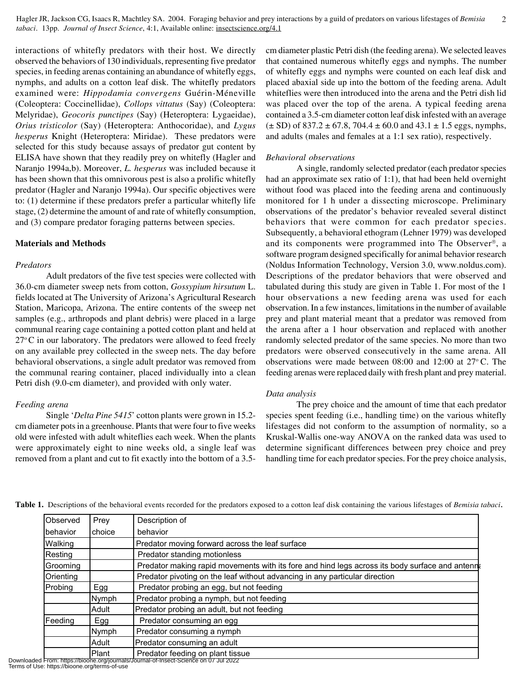Hagler JR, Jackson CG, Isaacs R, Machtley SA. 2004. Foraging behavior and prey interactions by a guild of predators on various lifestages of *Bemisia* 2 *tabaci*. 13pp. *Journal of Insect Science*, 4:1, Available online: insectscience.org/4.1

interactions of whitefly predators with their host. We directly observed the behaviors of 130 individuals, representing five predator species, in feeding arenas containing an abundance of whitefly eggs, nymphs, and adults on a cotton leaf disk. The whitefly predators examined were: *Hippodamia convergens* Guérin-Méneville (Coleoptera: Coccinellidae), *Collops vittatus* (Say) (Coleoptera: Melyridae), *Geocoris punctipes* (Say) (Heteroptera: Lygaeidae), *Orius tristicolor* (Say) (Heteroptera: Anthocoridae), and *Lygus hesperus* Knight (Heteroptera: Miridae). These predators were selected for this study because assays of predator gut content by ELISA have shown that they readily prey on whitefly (Hagler and Naranjo 1994a,b). Moreover, *L. hesperus* was included because it has been shown that this omnivorous pest is also a prolific whitefly predator (Hagler and Naranjo 1994a). Our specific objectives were to: (1) determine if these predators prefer a particular whitefly life stage, (2) determine the amount of and rate of whitefly consumption, and (3) compare predator foraging patterns between species.

## **Materials and Methods**

#### *Predators*

Adult predators of the five test species were collected with 36.0-cm diameter sweep nets from cotton, *Gossypium hirsutum* L. fields located at The University of Arizona's Agricultural Research Station, Maricopa, Arizona. The entire contents of the sweep net samples (e.g., arthropods and plant debris) were placed in a large communal rearing cage containing a potted cotton plant and held at  $27^{\circ}$ C in our laboratory. The predators were allowed to feed freely on any available prey collected in the sweep nets. The day before behavioral observations, a single adult predator was removed from the communal rearing container, placed individually into a clean Petri dish (9.0-cm diameter), and provided with only water.

## *Feeding arena*

Single '*Delta Pine 5415*' cotton plants were grown in 15.2 cm diameter pots in a greenhouse. Plants that were four to five weeks old were infested with adult whiteflies each week. When the plants were approximately eight to nine weeks old, a single leaf was removed from a plant and cut to fit exactly into the bottom of a 3.5cm diameter plastic Petri dish (the feeding arena). We selected leaves that contained numerous whitefly eggs and nymphs. The number of whitefly eggs and nymphs were counted on each leaf disk and placed abaxial side up into the bottom of the feeding arena. Adult whiteflies were then introduced into the arena and the Petri dish lid was placed over the top of the arena. A typical feeding arena contained a 3.5-cm diameter cotton leaf disk infested with an average  $(\pm SD)$  of 837.2  $\pm$  67.8, 704.4  $\pm$  60.0 and 43.1  $\pm$  1.5 eggs, nymphs, and adults (males and females at a 1:1 sex ratio), respectively.

#### *Behavioral observations*

A single, randomly selected predator (each predator species had an approximate sex ratio of 1:1), that had been held overnight without food was placed into the feeding arena and continuously monitored for 1 h under a dissecting microscope. Preliminary observations of the predator's behavior revealed several distinct behaviors that were common for each predator species. Subsequently, a behavioral ethogram (Lehner 1979) was developed and its components were programmed into The Observer®, a software program designed specifically for animal behavior research (Noldus Information Technology, Version 3.0, www.noldus.com). Descriptions of the predator behaviors that were observed and tabulated during this study are given in Table 1. For most of the 1 hour observations a new feeding arena was used for each observation. In a few instances, limitations in the number of available prey and plant material meant that a predator was removed from the arena after a 1 hour observation and replaced with another randomly selected predator of the same species. No more than two predators were observed consecutively in the same arena. All observations were made between  $08:00$  and  $12:00$  at  $27^{\circ}$  C. The feeding arenas were replaced daily with fresh plant and prey material.

#### *Data analysis*

The prey choice and the amount of time that each predator species spent feeding (i.e., handling time) on the various whitefly lifestages did not conform to the assumption of normality, so a Kruskal-Wallis one-way ANOVA on the ranked data was used to determine significant differences between prey choice and prey handling time for each predator species. For the prey choice analysis,

|  |  | Table 1. Descriptions of the behavioral events recorded for the predators exposed to a cotton leaf disk containing the various lifestages of Bemisia tabaci. |
|--|--|--------------------------------------------------------------------------------------------------------------------------------------------------------------|
|--|--|--------------------------------------------------------------------------------------------------------------------------------------------------------------|

| Observed                                      | Prey         | Description of                                                                                      |
|-----------------------------------------------|--------------|-----------------------------------------------------------------------------------------------------|
| behavior                                      | choice       | behavior                                                                                            |
| Walking                                       |              | Predator moving forward across the leaf surface                                                     |
| Resting                                       |              | Predator standing motionless                                                                        |
| Grooming                                      |              | Predator making rapid movements with its fore and hind legs across its body surface and antennation |
| Orienting                                     |              | Predator pivoting on the leaf without advancing in any particular direction                         |
| Probing                                       | Egg          | Predator probing an egg, but not feeding                                                            |
|                                               | Nymph        | Predator probing a nymph, but not feeding                                                           |
|                                               | Adult        | Predator probing an adult, but not feeding                                                          |
| Feeding                                       | Egg          | Predator consuming an egg                                                                           |
|                                               | Nymph        | Predator consuming a nymph                                                                          |
|                                               | Adult        | Predator consuming an adult                                                                         |
|                                               | <b>Plant</b> | Predator feeding on plant tissue                                                                    |
| Terms of Use: https://bioone.org/terms-of-use |              | Downloaded From: https://bioone.org/journals/Journal-of-Insect-Science on 07 Jul 2022               |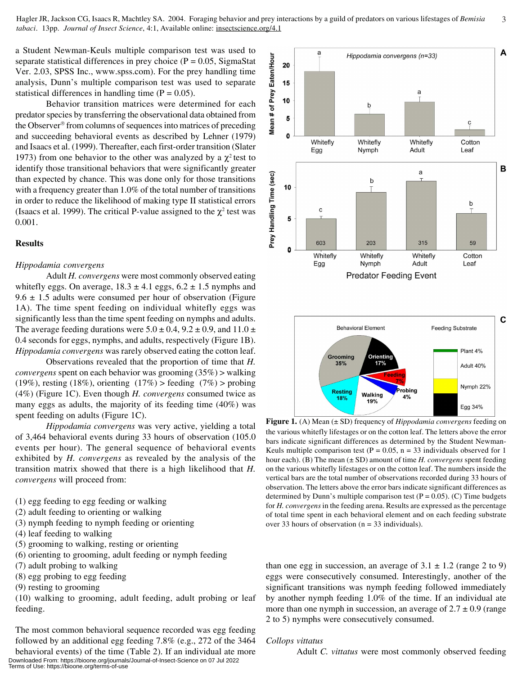Hagler JR, Jackson CG, Isaacs R, Machtley SA. 2004. Foraging behavior and prey interactions by a guild of predators on various lifestages of *Bemisia* 3 *tabaci*. 13pp. *Journal of Insect Science*, 4:1, Available online: insectscience.org/4.1

a Student Newman-Keuls multiple comparison test was used to separate statistical differences in prey choice ( $P = 0.05$ , SigmaStat Ver. 2.03, SPSS Inc., www.spss.com). For the prey handling time analysis, Dunn's multiple comparison test was used to separate statistical differences in handling time  $(P = 0.05)$ .

Behavior transition matrices were determined for each predator species by transferring the observational data obtained from the Observer® from columns of sequences into matrices of preceding and succeeding behavioral events as described by Lehner (1979) and Isaacs et al. (1999). Thereafter, each first-order transition (Slater 1973) from one behavior to the other was analyzed by a  $\chi^2$  test to identify those transitional behaviors that were significantly greater than expected by chance. This was done only for those transitions with a frequency greater than 1.0% of the total number of transitions in order to reduce the likelihood of making type II statistical errors (Isaacs et al. 1999). The critical P-value assigned to the  $\chi^2$  test was 0.001.

## **Results**

#### *Hippodamia convergens*

Adult *H. convergens* were most commonly observed eating whitefly eggs. On average,  $18.3 \pm 4.1$  eggs,  $6.2 \pm 1.5$  nymphs and  $9.6 \pm 1.5$  adults were consumed per hour of observation (Figure 1A). The time spent feeding on individual whitefly eggs was significantly less than the time spent feeding on nymphs and adults. The average feeding durations were  $5.0 \pm 0.4$ ,  $9.2 \pm 0.9$ , and  $11.0 \pm 0.9$ 0.4 seconds for eggs, nymphs, and adults, respectively (Figure 1B). *Hippodamia convergens* was rarely observed eating the cotton leaf.

Observations revealed that the proportion of time that *H. convergens* spent on each behavior was grooming (35%) > walking (19%), resting (18%), orienting (17%) > feeding (7%) > probing (4%) (Figure 1C). Even though *H. convergens* consumed twice as many eggs as adults, the majority of its feeding time (40%) was spent feeding on adults (Figure 1C).

*Hippodamia convergens* was very active, yielding a total of 3,464 behavioral events during 33 hours of observation (105.0 events per hour). The general sequence of behavioral events exhibited by *H. convergens* as revealed by the analysis of the transition matrix showed that there is a high likelihood that *H. convergens* will proceed from:

- (1) egg feeding to egg feeding or walking
- (2) adult feeding to orienting or walking
- (3) nymph feeding to nymph feeding or orienting
- (4) leaf feeding to walking
- (5) grooming to walking, resting or orienting
- (6) orienting to grooming, adult feeding or nymph feeding
- (7) adult probing to walking
- (8) egg probing to egg feeding
- (9) resting to grooming

(10) walking to grooming, adult feeding, adult probing or leaf feeding.

The most common behavioral sequence recorded was egg feeding followed by an additional egg feeding 7.8% (e.g., 272 of the 3464

behavioral events) of the time (Table 2). If an individual ate more Downloaded From: https://bioone.org/journals/Journal-of-Insect-Science on 07 Jul 2022 Terms of Use: https://bioone.org/terms-of-use



**Figure 1.** (A) Mean (± SD) frequency of *Hippodamia convergens* feeding on the various whitefly lifestages or on the cotton leaf. The letters above the error bars indicate significant differences as determined by the Student Newman-Keuls multiple comparison test ( $P = 0.05$ ,  $n = 33$  individuals observed for 1 hour each). (B) The mean (± SD) amount of time *H. convergens* spent feeding on the various whitefly lifestages or on the cotton leaf. The numbers inside the vertical bars are the total number of observations recorded during 33 hours of observation. The letters above the error bars indicate significant differences as determined by Dunn's multiple comparison test ( $P = 0.05$ ). (C) Time budgets for *H. convergens* in the feeding arena. Results are expressed as the percentage of total time spent in each behavioral element and on each feeding substrate over 33 hours of observation  $(n = 33$  individuals).

Egg 34%

than one egg in succession, an average of  $3.1 \pm 1.2$  (range 2 to 9) eggs were consecutively consumed. Interestingly, another of the significant transitions was nymph feeding followed immediately by another nymph feeding 1.0% of the time. If an individual ate more than one nymph in succession, an average of  $2.7 \pm 0.9$  (range 2 to 5) nymphs were consecutively consumed.

#### *Collops vittatus*

Adult *C. vittatus* were most commonly observed feeding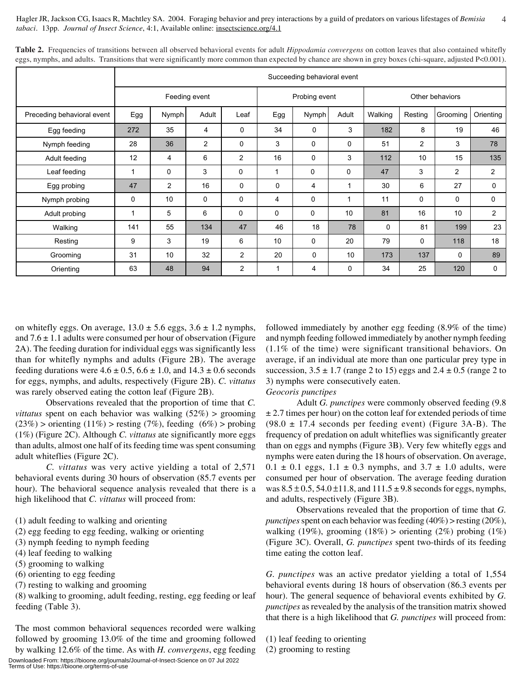Hagler JR, Jackson CG, Isaacs R, Machtley SA. 2004. Foraging behavior and prey interactions by a guild of predators on various lifestages of *Bemisia* 4 *tabaci*. 13pp. *Journal of Insect Science*, 4:1, Available online: insectscience.org/4.1

|                            | Succeeding behavioral event |       |                |                |          |               |             |                 |                |                |                |  |
|----------------------------|-----------------------------|-------|----------------|----------------|----------|---------------|-------------|-----------------|----------------|----------------|----------------|--|
|                            |                             |       | Feeding event  |                |          | Probing event |             | Other behaviors |                |                |                |  |
| Preceding behavioral event | Egg                         | Nymph | Adult          | Leaf           | Egg      | Nymph         | Adult       | Walking         | Resting        | Grooming       | Orienting      |  |
| Egg feeding                | 272                         | 35    | 4              | $\mathbf{0}$   | 34       | $\mathbf{0}$  | 3           | 182             | 8              | 19             | 46             |  |
| Nymph feeding              | 28                          | 36    | $\overline{2}$ | 0              | 3        | 0             | 0           | 51              | $\overline{2}$ | 3              | 78             |  |
| Adult feeding              | 12                          | 4     | 6              | 2              | 16       | 0             | 3           | 112             | 10             | 15             | 135            |  |
| Leaf feeding               | 1                           | 0     | 3              | 0              | 1        | 0             | $\mathbf 0$ | 47              | 3              | $\overline{2}$ | $\overline{2}$ |  |
| Egg probing                | 47                          | 2     | 16             | 0              | 0        | 4             |             | 30              | 6              | 27             | $\mathbf{0}$   |  |
| Nymph probing              | 0                           | 10    | 0              | $\mathbf 0$    | 4        | 0             | 1           | 11              | 0              | $\mathbf 0$    | $\mathbf 0$    |  |
| Adult probing              | 1                           | 5     | 6              | 0              | $\Omega$ | $\Omega$      | 10          | 81              | 16             | 10             | $\overline{2}$ |  |
| Walking                    | 141                         | 55    | 134            | 47             | 46       | 18            | 78          | $\mathbf 0$     | 81             | 199            | 23             |  |
| Resting                    | 9                           | 3     | 19             | 6              | 10       | 0             | 20          | 79              | $\mathbf{0}$   | 118            | 18             |  |
| Grooming                   | 31                          | 10    | 32             | $\overline{2}$ | 20       | $\mathbf 0$   | 10          | 173             | 137            | 0              | 89             |  |
| Orienting                  | 63                          | 48    | 94             | $\overline{2}$ | 1        | 4             | 0           | 34              | 25             | 120            | 0              |  |

**Table 2.** Frequencies of transitions between all observed behavioral events for adult *Hippodamia convergens* on cotton leaves that also contained whitefly eggs, nymphs, and adults. Transitions that were significantly more common than expected by chance are shown in grey boxes (chi-square, adjusted P<0.001).

on whitefly eggs. On average,  $13.0 \pm 5.6$  eggs,  $3.6 \pm 1.2$  nymphs, and  $7.6 \pm 1.1$  adults were consumed per hour of observation (Figure 2A). The feeding duration for individual eggs was significantly less than for whitefly nymphs and adults (Figure 2B). The average feeding durations were  $4.6 \pm 0.5$ ,  $6.6 \pm 1.0$ , and  $14.3 \pm 0.6$  seconds for eggs, nymphs, and adults, respectively (Figure 2B). *C. vittatus* was rarely observed eating the cotton leaf (Figure 2B).

Observations revealed that the proportion of time that *C. vittatus* spent on each behavior was walking (52%) > grooming  $(23%)$  > orienting  $(11%)$  > resting  $(7%)$ , feeding  $(6%)$  > probing (1%) (Figure 2C). Although *C. vittatus* ate significantly more eggs than adults, almost one half of its feeding time was spent consuming adult whiteflies (Figure 2C).

*C. vittatus* was very active yielding a total of 2,571 behavioral events during 30 hours of observation (85.7 events per hour). The behavioral sequence analysis revealed that there is a high likelihood that *C. vittatus* will proceed from:

- (1) adult feeding to walking and orienting
- (2) egg feeding to egg feeding, walking or orienting
- (3) nymph feeding to nymph feeding
- (4) leaf feeding to walking
- (5) grooming to walking
- (6) orienting to egg feeding
- (7) resting to walking and grooming

(8) walking to grooming, adult feeding, resting, egg feeding or leaf feeding (Table 3).

The most common behavioral sequences recorded were walking followed by grooming 13.0% of the time and grooming followed by walking 12.6% of the time. As with *H. convergens*, egg feeding

Downloaded From: https://bioone.org/journals/Journal-of-Insect-Science on 07 Jul 2022 Terms of Use: https://bioone.org/terms-of-use

followed immediately by another egg feeding (8.9% of the time) and nymph feeding followed immediately by another nymph feeding (1.1% of the time) were significant transitional behaviors. On average, if an individual ate more than one particular prey type in succession,  $3.5 \pm 1.7$  (range 2 to 15) eggs and  $2.4 \pm 0.5$  (range 2 to 3) nymphs were consecutively eaten.

## *Geocoris punctipes*

Adult *G. punctipes* were commonly observed feeding (9.8  $\pm$  2.7 times per hour) on the cotton leaf for extended periods of time  $(98.0 \pm 17.4$  seconds per feeding event) (Figure 3A-B). The frequency of predation on adult whiteflies was significantly greater than on eggs and nymphs (Figure 3B). Very few whitefly eggs and nymphs were eaten during the 18 hours of observation. On average,  $0.1 \pm 0.1$  eggs,  $1.1 \pm 0.3$  nymphs, and  $3.7 \pm 1.0$  adults, were consumed per hour of observation. The average feeding duration was  $8.5 \pm 0.5$ ,  $54.0 \pm 11.8$ , and  $111.5 \pm 9.8$  seconds for eggs, nymphs, and adults, respectively (Figure 3B).

Observations revealed that the proportion of time that *G. punctipes* spent on each behavior was feeding (40%) > resting (20%), walking (19%), grooming (18%) > orienting (2%) probing (1%) (Figure 3C). Overall, *G. punctipes* spent two-thirds of its feeding time eating the cotton leaf.

*G. punctipes* was an active predator yielding a total of 1,554 behavioral events during 18 hours of observation (86.3 events per hour). The general sequence of behavioral events exhibited by *G. punctipes* as revealed by the analysis of the transition matrix showed that there is a high likelihood that *G. punctipes* will proceed from:

(1) leaf feeding to orienting

(2) grooming to resting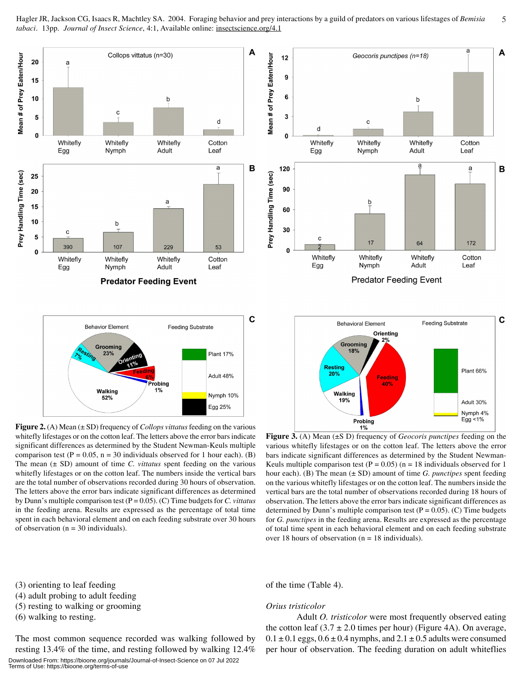Hagler JR, Jackson CG, Isaacs R, Machtley SA. 2004. Foraging behavior and prey interactions by a guild of predators on various lifestages of *Bemisia* 5 *tabaci*. 13pp. *Journal of Insect Science*, 4:1, Available online: insectscience.org/4.1



**Figure 2.** (A) Mean (± SD) frequency of *Collops vittatus* feeding on the various whitefly lifestages or on the cotton leaf. The letters above the error bars indicate significant differences as determined by the Student Newman-Keuls multiple comparison test ( $P = 0.05$ ,  $n = 30$  individuals observed for 1 hour each). (B) The mean (± SD) amount of time *C. vittatus* spent feeding on the various whitefly lifestages or on the cotton leaf. The numbers inside the vertical bars are the total number of observations recorded during 30 hours of observation. The letters above the error bars indicate significant differences as determined by Dunn's multiple comparison test (P = 0.05). (C) Time budgets for *C. vittatus* in the feeding arena. Results are expressed as the percentage of total time spent in each behavioral element and on each feeding substrate over 30 hours of observation ( $n = 30$  individuals).

**Figure 3.** (A) Mean (±S D) frequency of *Geocoris punctipes* feeding on the various whitefly lifestages or on the cotton leaf. The letters above the error bars indicate significant differences as determined by the Student Newman-Keuls multiple comparison test ( $P = 0.05$ ) (n = 18 individuals observed for 1 hour each). (B) The mean (± SD) amount of time *G. punctipes* spent feeding on the various whitefly lifestages or on the cotton leaf. The numbers inside the vertical bars are the total number of observations recorded during 18 hours of observation. The letters above the error bars indicate significant differences as determined by Dunn's multiple comparison test ( $P = 0.05$ ). (C) Time budgets for *G. punctipes* in the feeding arena. Results are expressed as the percentage of total time spent in each behavioral element and on each feeding substrate over 18 hours of observation ( $n = 18$  individuals).

A

B

C

Cotton

a

172

Cotton

Plant 66%

Adult 30%

Nymph 4% Egg  $<$ 1%

Leaf

Leaf

(3) orienting to leaf feeding

(4) adult probing to adult feeding

(5) resting to walking or grooming

(6) walking to resting.

The most common sequence recorded was walking followed by resting 13.4% of the time, and resting followed by walking 12.4%

Downloaded From: https://bioone.org/journals/Journal-of-Insect-Science on 07 Jul 2022 Terms of Use: https://bioone.org/terms-of-use

of the time (Table 4).

## *Orius tristicolor*

Adult *O. tristicolor* were most frequently observed eating the cotton leaf  $(3.7 \pm 2.0)$  times per hour) (Figure 4A). On average,  $0.1 \pm 0.1$  eggs,  $0.6 \pm 0.4$  nymphs, and  $2.1 \pm 0.5$  adults were consumed per hour of observation. The feeding duration on adult whiteflies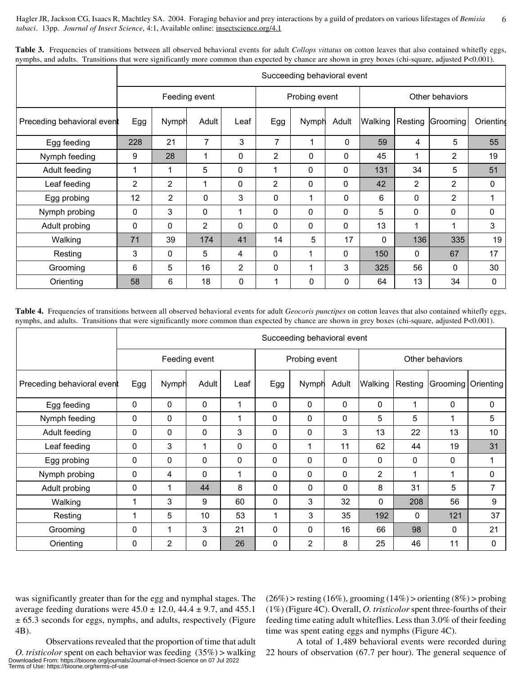Hagler JR, Jackson CG, Isaacs R, Machtley SA. 2004. Foraging behavior and prey interactions by a guild of predators on various lifestages of *Bemisia* 6 *tabaci*. 13pp. *Journal of Insect Science*, 4:1, Available online: insectscience.org/4.1

**Table 3.** Frequencies of transitions between all observed behavioral events for adult *Collops vittatus* on cotton leaves that also contained whitefly eggs, nymphs, and adults. Transitions that were significantly more common than expected by chance are shown in grey boxes (chi-square, adjusted P<0.001).

|                            | Succeeding behavioral event |                |                |                |                |               |              |                 |          |                |              |  |
|----------------------------|-----------------------------|----------------|----------------|----------------|----------------|---------------|--------------|-----------------|----------|----------------|--------------|--|
|                            |                             |                | Feeding event  |                |                | Probing event |              | Other behaviors |          |                |              |  |
| Preceding behavioral event | Egg                         | Nymph          | Adult          | Leaf           | Egg            | Nymph         | Adult        | Walking         | Resting  | Grooming       | Orientin     |  |
| Egg feeding                | 228                         | 21             | $\overline{7}$ | 3              | $\overline{7}$ | 1             | 0            | 59              | 4        | 5              | 55           |  |
| Nymph feeding              | 9                           | 28             |                | 0              | 2              | $\mathbf{0}$  | $\Omega$     | 45              |          | $\overline{2}$ | 19           |  |
| Adult feeding              | 1                           | 1              | 5              | 0              | 1              | $\Omega$      | $\Omega$     | 131             | 34       | 5              | 51           |  |
| Leaf feeding               | $\overline{2}$              | $\overline{2}$ | 1              | 0              | $\mathbf{2}$   | $\mathbf{0}$  | 0            | 42              | 2        | $\overline{2}$ | 0            |  |
| Egg probing                | 12                          | 2              | $\mathbf{0}$   | 3              | $\mathbf{0}$   |               | 0            | 6               | 0        | 2              | 1            |  |
| Nymph probing              | 0                           | 3              | $\Omega$       | 1              | $\Omega$       | $\Omega$      | 0            | 5               | $\Omega$ | $\Omega$       | $\mathbf{0}$ |  |
| Adult probing              | 0                           | 0              | $\mathbf{2}$   | 0              | $\Omega$       | $\mathbf{0}$  | 0            | 13              | 1        | 1              | 3            |  |
| Walking                    | 71                          | 39             | 174            | 41             | 14             | 5             | 17           | $\Omega$        | 136      | 335            | 19           |  |
| Resting                    | 3                           | $\mathbf 0$    | 5              | 4              | $\mathbf 0$    | 1             | 0            | 150             | $\Omega$ | 67             | 17           |  |
| Grooming                   | 6                           | 5              | 16             | $\overline{c}$ | $\Omega$       |               | 3            | 325             | 56       | $\mathbf{0}$   | 30           |  |
| Orienting                  | 58                          | 6              | 18             | 0              | 1              | 0             | $\mathbf{0}$ | 64              | 13       | 34             | 0            |  |

**Table 4.** Frequencies of transitions between all observed behavioral events for adult *Geocoris punctipes* on cotton leaves that also contained whitefly eggs, nymphs, and adults. Transitions that were significantly more common than expected by chance are shown in grey boxes (chi-square, adjusted P<0.001).

|                            | Succeeding behavioral event |          |               |              |              |                |          |                 |              |                      |              |  |
|----------------------------|-----------------------------|----------|---------------|--------------|--------------|----------------|----------|-----------------|--------------|----------------------|--------------|--|
|                            |                             |          | Feeding event |              |              | Probing event  |          | Other behaviors |              |                      |              |  |
| Preceding behavioral event | Egg                         | Nymph    | Adult         | Leaf         | Egg          | Nymph          | Adult    | Walking         | Resting      | Grooming   Orienting |              |  |
| Egg feeding                | 0                           | 0        | $\mathbf{0}$  | 1            | $\Omega$     | $\Omega$       | 0        | 0               |              | 0                    | 0            |  |
| Nymph feeding              | 0                           | $\Omega$ | $\mathbf{0}$  | 1            | $\Omega$     | $\Omega$       | $\Omega$ | 5               | 5            | 1                    | 5            |  |
| Adult feeding              | 0                           | 0        | $\Omega$      | 3            | $\Omega$     | $\Omega$       | 3        | 13              | 22           | 13                   | 10           |  |
| Leaf feeding               | 0                           | 3        | 1             | 0            | $\Omega$     |                | 11       | 62              | 44           | 19                   | 31           |  |
| Egg probing                | 0                           | $\Omega$ | $\Omega$      | $\Omega$     | $\Omega$     | $\Omega$       | $\Omega$ | $\mathbf{0}$    | $\mathbf{0}$ | 0                    | 1            |  |
| Nymph probing              | 0                           | 4        | $\Omega$      | $\mathbf{1}$ | 0            | $\Omega$       | 0        | 2               |              | 1                    | 0            |  |
| Adult probing              | 0                           |          | 44            | 8            | $\mathbf{0}$ | $\mathbf{0}$   | $\Omega$ | 8               | 31           | 5                    | 7            |  |
| Walking                    | 1                           | 3        | 9             | 60           | $\mathbf{0}$ | 3              | 32       | $\Omega$        | 208          | 56                   | 9            |  |
| Resting                    | 1                           | 5        | 10            | 53           | 1            | 3              | 35       | 192             | $\Omega$     | 121                  | 37           |  |
| Grooming                   | 0                           |          | 3             | 21           | $\mathbf{0}$ | $\mathbf{0}$   | 16       | 66              | 98           | $\mathbf{0}$         | 21           |  |
| Orienting                  | 0                           | 2        | $\mathbf{0}$  | 26           | $\mathbf{0}$ | $\overline{2}$ | 8        | 25              | 46           | 11                   | $\mathbf{0}$ |  |

was significantly greater than for the egg and nymphal stages. The average feeding durations were  $45.0 \pm 12.0$ ,  $44.4 \pm 9.7$ , and  $455.1$ ± 65.3 seconds for eggs, nymphs, and adults, respectively (Figure 4B).

Observations revealed that the proportion of time that adult *O. tristicolor* spent on each behavior was feeding (35%) > walking Downloaded From: https://bioone.org/journals/Journal-of-Insect-Science on 07 Jul 2022 Terms of Use: https://bioone.org/terms-of-use

 $(26\%)$  > resting (16%), grooming (14%) > orienting (8%) > probing (1%) (Figure 4C). Overall, *O. tristicolor* spent three-fourths of their feeding time eating adult whiteflies. Less than 3.0% of their feeding time was spent eating eggs and nymphs (Figure 4C).

A total of 1,489 behavioral events were recorded during 22 hours of observation (67.7 per hour). The general sequence of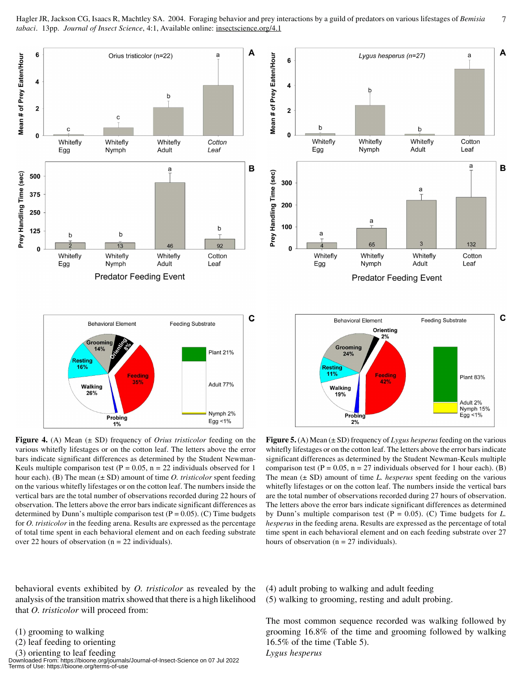Hagler JR, Jackson CG, Isaacs R, Machtley SA. 2004. Foraging behavior and prey interactions by a guild of predators on various lifestages of *Bemisia* 7 *tabaci*. 13pp. *Journal of Insect Science*, 4:1, Available online: insectscience.org/4.1



**Figure 4.** (A) Mean (± SD) frequency of *Orius tristicolor* feeding on the various whitefly lifestages or on the cotton leaf. The letters above the error bars indicate significant differences as determined by the Student Newman-Keuls multiple comparison test ( $P = 0.05$ ,  $n = 22$  individuals observed for 1 hour each). (B) The mean (± SD) amount of time *O. tristicolor* spent feeding on the various whitefly lifestages or on the cotton leaf. The numbers inside the vertical bars are the total number of observations recorded during 22 hours of observation. The letters above the error bars indicate significant differences as determined by Dunn's multiple comparison test ( $P = 0.05$ ). (C) Time budgets for *O. tristicolor* in the feeding arena. Results are expressed as the percentage of total time spent in each behavioral element and on each feeding substrate over 22 hours of observation ( $n = 22$  individuals).

behavioral events exhibited by *O. tristicolor* as revealed by the analysis of the transition matrix showed that there is a high likelihood that *O. tristicolor* will proceed from:

(1) grooming to walking

(2) leaf feeding to orienting

(3) orienting to leaf feeding

Downloaded From: https://bioone.org/journals/Journal-of-Insect-Science on 07 Jul 2022 Terms of Use: https://bioone.org/terms-of-use

**Figure 5.** (A) Mean (± SD) frequency of *Lygus hesperus* feeding on the various whitefly lifestages or on the cotton leaf. The letters above the error bars indicate significant differences as determined by the Student Newman-Keuls multiple comparison test ( $P = 0.05$ ,  $n = 27$  individuals observed for 1 hour each). (B) The mean (± SD) amount of time *L. hesperus* spent feeding on the various whitefly lifestages or on the cotton leaf. The numbers inside the vertical bars are the total number of observations recorded during 27 hours of observation. The letters above the error bars indicate significant differences as determined by Dunn's multiple comparison test (P = 0.05). (C) Time budgets for *L. hesperus* in the feeding arena. Results are expressed as the percentage of total time spent in each behavioral element and on each feeding substrate over 27 hours of observation  $(n = 27$  individuals).

(4) adult probing to walking and adult feeding (5) walking to grooming, resting and adult probing.

The most common sequence recorded was walking followed by grooming 16.8% of the time and grooming followed by walking 16.5% of the time (Table 5). *Lygus hesperus*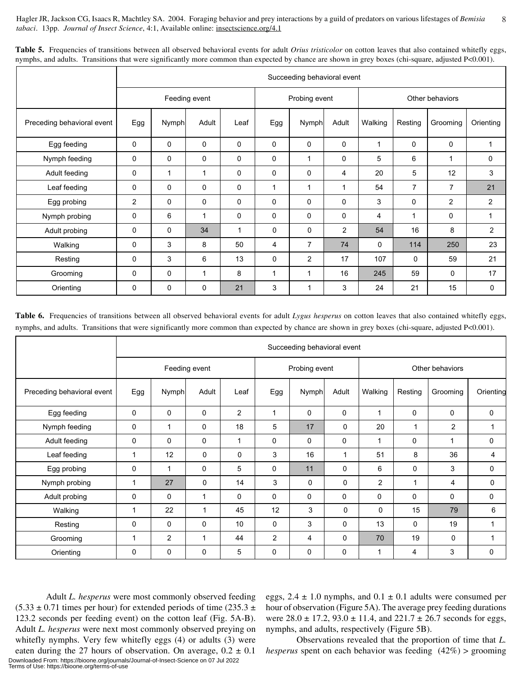Hagler JR, Jackson CG, Isaacs R, Machtley SA. 2004. Foraging behavior and prey interactions by a guild of predators on various lifestages of *Bemisia* 8 *tabaci*. 13pp. *Journal of Insect Science*, 4:1, Available online: insectscience.org/4.1

**Table 5.** Frequencies of transitions between all observed behavioral events for adult *Orius tristicolor* on cotton leaves that also contained whitefly eggs, nymphs, and adults. Transitions that were significantly more common than expected by chance are shown in grey boxes (chi-square, adjusted P<0.001).

|                            | Succeeding behavioral event |              |               |      |              |                |                |                 |                |                |                |  |
|----------------------------|-----------------------------|--------------|---------------|------|--------------|----------------|----------------|-----------------|----------------|----------------|----------------|--|
|                            |                             |              | Feeding event |      |              | Probing event  |                | Other behaviors |                |                |                |  |
| Preceding behavioral event | Egg                         | Nymph        | Adult         | Leaf | Egg          | Nymph          | Adult          | Walking         | Resting        | Grooming       | Orienting      |  |
| Egg feeding                | 0                           | $\mathbf 0$  | $\mathbf 0$   | 0    | $\mathbf{0}$ | $\mathbf 0$    | 0              | 1               | $\mathbf 0$    | $\mathbf 0$    |                |  |
| Nymph feeding              | 0                           | $\mathbf{0}$ | $\mathbf{0}$  | 0    | $\Omega$     | 1              | 0              | 5               | 6              | 1              | 0              |  |
| Adult feeding              | 0                           | 1            | 1             | 0    | $\mathbf 0$  | $\mathbf{0}$   | 4              | 20              | 5              | 12             | 3              |  |
| Leaf feeding               | 0                           | $\Omega$     | $\mathbf{0}$  | 0    | 1            | 1              | $\mathbf{1}$   | 54              | $\overline{7}$ | $\overline{7}$ | 21             |  |
| Egg probing                | $\overline{c}$              | $\mathbf 0$  | $\mathbf 0$   | 0    | $\mathbf 0$  | $\mathbf 0$    | 0              | 3               | $\mathbf 0$    | $\overline{2}$ | $\overline{2}$ |  |
| Nymph probing              | 0                           | 6            | 1             | 0    | 0            | $\mathbf 0$    | 0              | 4               | 1              | 0              | 1              |  |
| Adult probing              | 0                           | $\mathbf 0$  | 34            | 1    | 0            | $\mathbf 0$    | $\overline{2}$ | 54              | 16             | 8              | 2              |  |
| Walking                    | $\mathbf 0$                 | 3            | 8             | 50   | 4            | 7              | 74             | $\mathbf{0}$    | 114            | 250            | 23             |  |
| Resting                    | 0                           | 3            | 6             | 13   | 0            | $\overline{2}$ | 17             | 107             | $\mathbf{0}$   | 59             | 21             |  |
| Grooming                   | 0                           | $\mathbf 0$  | 1             | 8    | 1            | 1              | 16             | 245             | 59             | 0              | 17             |  |
| Orienting                  | 0                           | $\mathbf 0$  | 0             | 21   | 3            |                | 3              | 24              | 21             | 15             | $\mathbf 0$    |  |

**Table 6.** Frequencies of transitions between all observed behavioral events for adult *Lygus hesperus* on cotton leaves that also contained whitefly eggs, nymphs, and adults. Transitions that were significantly more common than expected by chance are shown in grey boxes (chi-square, adjusted P<0.001).

|                            | Succeeding behavioral event |              |               |                 |          |               |              |                 |              |                |             |  |
|----------------------------|-----------------------------|--------------|---------------|-----------------|----------|---------------|--------------|-----------------|--------------|----------------|-------------|--|
|                            |                             |              | Feeding event |                 |          | Probing event |              | Other behaviors |              |                |             |  |
| Preceding behavioral event | Egg                         | Nymph        | Adult         | Leaf            | Egg      | Nymph         | Adult        | Walking         | Resting      | Grooming       | Orienting   |  |
| Egg feeding                | 0                           | $\mathbf 0$  | $\mathbf 0$   | $\overline{2}$  | 1        | $\mathbf 0$   | 0            | $\mathbf{1}$    | $\mathbf 0$  | $\mathbf 0$    | 0           |  |
| Nymph feeding              | 0                           | $\mathbf{1}$ | $\mathbf{0}$  | 18              | 5        | 17            | $\mathbf{0}$ | 20              | 1            | $\overline{2}$ | 1           |  |
| Adult feeding              | 0                           | $\mathbf 0$  | $\mathbf{0}$  | 1               | $\Omega$ | $\mathbf{0}$  | $\mathbf 0$  | $\mathbf{1}$    | $\Omega$     | 1              | $\Omega$    |  |
| Leaf feeding               | 1                           | 12           | $\mathbf 0$   | 0               | 3        | 16            | 1            | 51              | 8            | 36             | 4           |  |
| Egg probing                | 0                           | $\mathbf{1}$ | $\mathbf{0}$  | 5               | $\Omega$ | 11            | $\Omega$     | 6               | $\Omega$     | 3              | $\Omega$    |  |
| Nymph probing              | 1                           | 27           | $\Omega$      | 14              | 3        | $\Omega$      | $\Omega$     | 2               |              | 4              | $\Omega$    |  |
| Adult probing              | 0                           | $\Omega$     | 1             | 0               | $\Omega$ | $\mathbf 0$   | $\mathbf 0$  | 0               | $\Omega$     | $\mathbf 0$    | $\mathbf 0$ |  |
| Walking                    | 1                           | 22           | 1             | 45              | 12       | 3             | $\mathbf{0}$ | $\Omega$        | 15           | 79             | 6           |  |
| Resting                    | 0                           | $\mathbf 0$  | $\mathbf{0}$  | 10 <sup>1</sup> | $\Omega$ | 3             | 0            | 13              | $\mathbf{0}$ | 19             | 1           |  |
| Grooming                   | 1                           | 2            | 1             | 44              | 2        | 4             | 0            | 70              | 19           | $\mathbf 0$    | 1           |  |
| Orienting                  | 0                           | $\mathbf 0$  | $\mathbf 0$   | 5               | $\Omega$ | $\Omega$      | $\mathbf 0$  | 1               | 4            | 3              | $\Omega$    |  |

Adult *L. hesperus* were most commonly observed feeding  $(5.33 \pm 0.71)$  times per hour) for extended periods of time (235.3  $\pm$ 123.2 seconds per feeding event) on the cotton leaf (Fig. 5A-B). Adult *L. hesperus* were next most commonly observed preying on whitefly nymphs. Very few whitefly eggs (4) or adults (3) were eaten during the 27 hours of observation. On average,  $0.2 \pm 0.1$ Downloaded From: https://bioone.org/journals/Journal-of-Insect-Science on 07 Jul 2022 Terms of Use: https://bioone.org/terms-of-use

eggs,  $2.4 \pm 1.0$  nymphs, and  $0.1 \pm 0.1$  adults were consumed per hour of observation (Figure 5A). The average prey feeding durations were  $28.0 \pm 17.2$ ,  $93.0 \pm 11.4$ , and  $221.7 \pm 26.7$  seconds for eggs, nymphs, and adults, respectively (Figure 5B).

Observations revealed that the proportion of time that *L. hesperus* spent on each behavior was feeding (42%) > grooming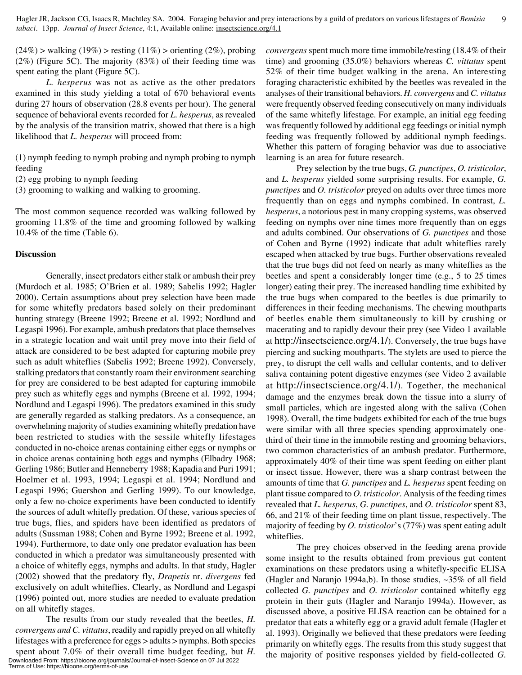$(24%)$  > walking  $(19%)$  > resting  $(11%)$  > orienting  $(2%)$ , probing (2%) (Figure 5C). The majority (83%) of their feeding time was spent eating the plant (Figure 5C).

*L. hesperus* was not as active as the other predators examined in this study yielding a total of 670 behavioral events during 27 hours of observation (28.8 events per hour). The general sequence of behavioral events recorded for *L. hesperus*, as revealed by the analysis of the transition matrix, showed that there is a high likelihood that *L. hesperus* will proceed from:

(1) nymph feeding to nymph probing and nymph probing to nymph feeding

(2) egg probing to nymph feeding

(3) grooming to walking and walking to grooming.

The most common sequence recorded was walking followed by grooming 11.8% of the time and grooming followed by walking 10.4% of the time (Table 6).

## **Discussion**

Generally, insect predators either stalk or ambush their prey (Murdoch et al. 1985; O'Brien et al. 1989; Sabelis 1992; Hagler 2000). Certain assumptions about prey selection have been made for some whitefly predators based solely on their predominant hunting strategy (Breene 1992; Breene et al. 1992; Nordlund and Legaspi 1996). For example, ambush predators that place themselves in a strategic location and wait until prey move into their field of attack are considered to be best adapted for capturing mobile prey such as adult whiteflies (Sabelis 1992; Breene 1992). Conversely, stalking predators that constantly roam their environment searching for prey are considered to be best adapted for capturing immobile prey such as whitefly eggs and nymphs (Breene et al. 1992, 1994; Nordlund and Legaspi 1996). The predators examined in this study are generally regarded as stalking predators. As a consequence, an overwhelming majority of studies examining whitefly predation have been restricted to studies with the sessile whitefly lifestages conducted in no-choice arenas containing either eggs or nymphs or in choice arenas containing both eggs and nymphs (Elbadry 1968; Gerling 1986; Butler and Henneberry 1988; Kapadia and Puri 1991; Hoelmer et al. 1993, 1994; Legaspi et al. 1994; Nordlund and Legaspi 1996; Guershon and Gerling 1999). To our knowledge, only a few no-choice experiments have been conducted to identify the sources of adult whitefly predation. Of these, various species of true bugs, flies, and spiders have been identified as predators of adults (Sussman 1988; Cohen and Byrne 1992; Breene et al. 1992, 1994). Furthermore, to date only one predator evaluation has been conducted in which a predator was simultaneously presented with a choice of whitefly eggs, nymphs and adults. In that study, Hagler (2002) showed that the predatory fly, *Drapetis* nr. *divergens* fed exclusively on adult whiteflies. Clearly, as Nordlund and Legaspi (1996) pointed out, more studies are needed to evaluate predation on all whitefly stages.

The results from our study revealed that the beetles, *H. convergens and C. vittatus*, readily and rapidly preyed on all whitefly lifestages with a preference for eggs > adults > nymphs. Both species spent about 7.0% of their overall time budget feeding, but *H.* Downloaded From: https://bioone.org/journals/Journal-of-Insect-Science on 07 Jul 2022 Terms of Use: https://bioone.org/terms-of-use

*convergens* spent much more time immobile/resting (18.4% of their time) and grooming (35.0%) behaviors whereas *C. vittatus* spent 52% of their time budget walking in the arena. An interesting foraging characteristic exhibited by the beetles was revealed in the analyses of their transitional behaviors. *H. convergens* and *C. vittatus* were frequently observed feeding consecutively on many individuals of the same whitefly lifestage. For example, an initial egg feeding was frequently followed by additional egg feedings or initial nymph feeding was frequently followed by additional nymph feedings. Whether this pattern of foraging behavior was due to associative learning is an area for future research.

Prey selection by the true bugs, *G. punctipes*, *O. tristicolor*, and *L. hesperus* yielded some surprising results. For example, *G. punctipes* and *O. tristicolor* preyed on adults over three times more frequently than on eggs and nymphs combined. In contrast, *L. hesperus*, a notorious pest in many cropping systems, was observed feeding on nymphs over nine times more frequently than on eggs and adults combined. Our observations of *G. punctipes* and those of Cohen and Byrne (1992) indicate that adult whiteflies rarely escaped when attacked by true bugs. Further observations revealed that the true bugs did not feed on nearly as many whiteflies as the beetles and spent a considerably longer time (e.g., 5 to 25 times longer) eating their prey. The increased handling time exhibited by the true bugs when compared to the beetles is due primarily to differences in their feeding mechanisms. The chewing mouthparts of beetles enable them simultaneously to kill by crushing or macerating and to rapidly devour their prey (see Video 1 available at http://insectscience.org/4.1/). Conversely, the true bugs have piercing and sucking mouthparts. The stylets are used to pierce the prey, to disrupt the cell walls and cellular contents, and to deliver saliva containing potent digestive enzymes (see Video 2 available at http://insectscience.org/4.1/). Together, the mechanical damage and the enzymes break down the tissue into a slurry of small particles, which are ingested along with the saliva (Cohen 1998). Overall, the time budgets exhibited for each of the true bugs were similar with all three species spending approximately onethird of their time in the immobile resting and grooming behaviors, two common characteristics of an ambush predator. Furthermore, approximately 40% of their time was spent feeding on either plant or insect tissue. However, there was a sharp contrast between the amounts of time that *G. punctipes* and *L. hesperus* spent feeding on plant tissue compared to *O. tristicolor*. Analysis of the feeding times revealed that *L. hesperus*, *G. punctipes*, and *O. tristicolor* spent 83, 66, and 21% of their feeding time on plant tissue, respectively. The majority of feeding by *O. tristicolor*'s (77%) was spent eating adult whiteflies.

The prey choices observed in the feeding arena provide some insight to the results obtained from previous gut content examinations on these predators using a whitefly-specific ELISA (Hagler and Naranjo 1994a,b). In those studies, ~35% of all field collected *G. punctipes* and *O. tristicolor* contained whitefly egg protein in their guts (Hagler and Naranjo 1994a). However, as discussed above, a positive ELISA reaction can be obtained for a predator that eats a whitefly egg or a gravid adult female (Hagler et al. 1993). Originally we believed that these predators were feeding primarily on whitefly eggs. The results from this study suggest that the majority of positive responses yielded by field-collected *G.*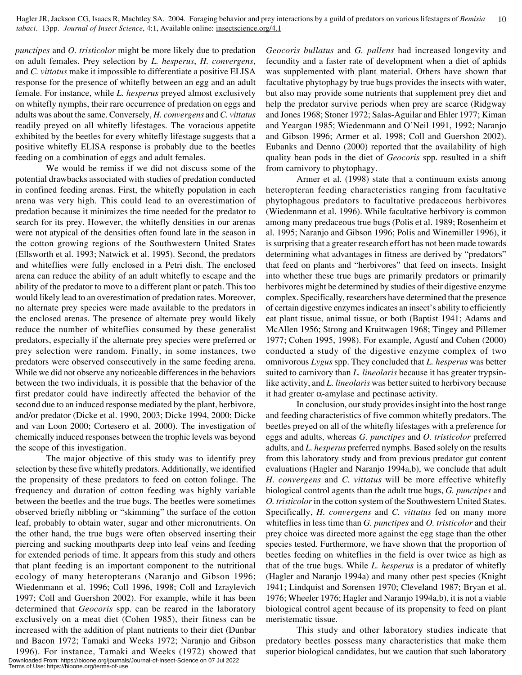Hagler JR, Jackson CG, Isaacs R, Machtley SA. 2004. Foraging behavior and prey interactions by a guild of predators on various lifestages of *Bemisia* 10 *tabaci*. 13pp. *Journal of Insect Science*, 4:1, Available online: insectscience.org/4.1

*punctipes* and *O. tristicolor* might be more likely due to predation on adult females. Prey selection by *L. hesperus*, *H. convergens*, and *C. vittatus* make it impossible to differentiate a positive ELISA response for the presence of whitefly between an egg and an adult female. For instance, while *L. hesperus* preyed almost exclusively on whitefly nymphs, their rare occurrence of predation on eggs and adults was about the same. Conversely, *H. convergens* and *C. vittatus* readily preyed on all whitefly lifestages. The voracious appetite exhibited by the beetles for every whitefly lifestage suggests that a positive whitefly ELISA response is probably due to the beetles feeding on a combination of eggs and adult females.

We would be remiss if we did not discuss some of the potential drawbacks associated with studies of predation conducted in confined feeding arenas. First, the whitefly population in each arena was very high. This could lead to an overestimation of predation because it minimizes the time needed for the predator to search for its prey. However, the whitefly densities in our arenas were not atypical of the densities often found late in the season in the cotton growing regions of the Southwestern United States (Ellsworth et al. 1993; Natwick et al. 1995). Second, the predators and whiteflies were fully enclosed in a Petri dish. The enclosed arena can reduce the ability of an adult whitefly to escape and the ability of the predator to move to a different plant or patch. This too would likely lead to an overestimation of predation rates. Moreover, no alternate prey species were made available to the predators in the enclosed arenas. The presence of alternate prey would likely reduce the number of whiteflies consumed by these generalist predators, especially if the alternate prey species were preferred or prey selection were random. Finally, in some instances, two predators were observed consecutively in the same feeding arena. While we did not observe any noticeable differences in the behaviors between the two individuals, it is possible that the behavior of the first predator could have indirectly affected the behavior of the second due to an induced response mediated by the plant, herbivore, and/or predator (Dicke et al. 1990, 2003; Dicke 1994, 2000; Dicke and van Loon 2000; Cortesero et al. 2000). The investigation of chemically induced responses between the trophic levels was beyond the scope of this investigation.

The major objective of this study was to identify prey selection by these five whitefly predators. Additionally, we identified the propensity of these predators to feed on cotton foliage. The frequency and duration of cotton feeding was highly variable between the beetles and the true bugs. The beetles were sometimes observed briefly nibbling or "skimming" the surface of the cotton leaf, probably to obtain water, sugar and other micronutrients. On the other hand, the true bugs were often observed inserting their piercing and sucking mouthparts deep into leaf veins and feeding for extended periods of time. It appears from this study and others that plant feeding is an important component to the nutritional ecology of many heteropterans (Naranjo and Gibson 1996; Wiedenmann et al. 1996; Coll 1996, 1998; Coll and Izraylevich 1997; Coll and Guershon 2002). For example, while it has been determined that *Geocoris* spp. can be reared in the laboratory exclusively on a meat diet (Cohen 1985), their fitness can be increased with the addition of plant nutrients to their diet (Dunbar and Bacon 1972; Tamaki and Weeks 1972; Naranjo and Gibson 1996). For instance, Tamaki and Weeks (1972) showed that

Downloaded From: https://bioone.org/journals/Journal-of-Insect-Science on 07 Jul 2022 Terms of Use: https://bioone.org/terms-of-use

*Geocoris bullatus* and *G. pallens* had increased longevity and fecundity and a faster rate of development when a diet of aphids was supplemented with plant material. Others have shown that facultative phytophagy by true bugs provides the insects with water, but also may provide some nutrients that supplement prey diet and help the predator survive periods when prey are scarce (Ridgway and Jones 1968; Stoner 1972; Salas-Aguilar and Ehler 1977; Kiman and Yeargan 1985; Wiedenmann and O'Neil 1991, 1992; Naranjo and Gibson 1996; Armer et al. 1998; Coll and Guershon 2002). Eubanks and Denno (2000) reported that the availability of high quality bean pods in the diet of *Geocoris* spp. resulted in a shift from carnivory to phytophagy.

Armer et al. (1998) state that a continuum exists among heteropteran feeding characteristics ranging from facultative phytophagous predators to facultative predaceous herbivores (Wiedenmann et al. 1996). While facultative herbivory is common among many predaceous true bugs (Polis et al. 1989; Rosenheim et al. 1995; Naranjo and Gibson 1996; Polis and Winemiller 1996), it is surprising that a greater research effort has not been made towards determining what advantages in fitness are derived by "predators" that feed on plants and "herbivores" that feed on insects. Insight into whether these true bugs are primarily predators or primarily herbivores might be determined by studies of their digestive enzyme complex. Specifically, researchers have determined that the presence of certain digestive enzymes indicates an insect's ability to efficiently eat plant tissue, animal tissue, or both (Baptist 1941; Adams and McAllen 1956; Strong and Kruitwagen 1968; Tingey and Pillemer 1977; Cohen 1995, 1998). For example, Agustí and Cohen (2000) conducted a study of the digestive enzyme complex of two omnivorous *Lygus* spp. They concluded that *L. hesperus* was better suited to carnivory than *L. lineolaris* because it has greater trypsinlike activity, and *L. lineolaris* was better suited to herbivory because it had greater α-amylase and pectinase activity.

In conclusion, our study provides insight into the host range and feeding characteristics of five common whitefly predators. The beetles preyed on all of the whitefly lifestages with a preference for eggs and adults, whereas *G. punctipes* and *O. tristicolor* preferred adults, and *L. hesperus* preferred nymphs. Based solely on the results from this laboratory study and from previous predator gut content evaluations (Hagler and Naranjo 1994a,b), we conclude that adult *H. convergens* and *C. vittatus* will be more effective whitefly biological control agents than the adult true bugs, *G. punctipes* and *O. tristicolor* in the cotton system of the Southwestern United States. Specifically, *H. convergens* and *C. vittatus* fed on many more whiteflies in less time than *G. punctipes* and *O. tristicolor* and their prey choice was directed more against the egg stage than the other species tested. Furthermore, we have shown that the proportion of beetles feeding on whiteflies in the field is over twice as high as that of the true bugs. While *L. hesperus* is a predator of whitefly (Hagler and Naranjo 1994a) and many other pest species (Knight 1941; Lindquist and Sorensen 1970; Cleveland 1987; Bryan et al. 1976; Wheeler 1976; Hagler and Naranjo 1994a,b), it is not a viable biological control agent because of its propensity to feed on plant meristematic tissue.

This study and other laboratory studies indicate that predatory beetles possess many characteristics that make them superior biological candidates, but we caution that such laboratory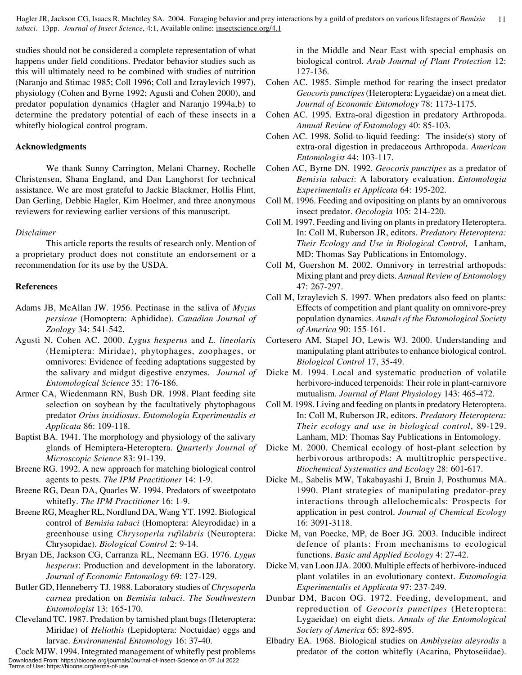Hagler JR, Jackson CG, Isaacs R, Machtley SA. 2004. Foraging behavior and prey interactions by a guild of predators on various lifestages of *Bemisia* 11 *tabaci*. 13pp. *Journal of Insect Science*, 4:1, Available online: insectscience.org/4.1

studies should not be considered a complete representation of what happens under field conditions. Predator behavior studies such as this will ultimately need to be combined with studies of nutrition (Naranjo and Stimac 1985; Coll 1996; Coll and Izraylevich 1997), physiology (Cohen and Byrne 1992; Agusti and Cohen 2000), and predator population dynamics (Hagler and Naranjo 1994a,b) to determine the predatory potential of each of these insects in a whitefly biological control program.

## **Acknowledgments**

We thank Sunny Carrington, Melani Charney, Rochelle Christensen, Shana England, and Dan Langhorst for technical assistance. We are most grateful to Jackie Blackmer, Hollis Flint, Dan Gerling, Debbie Hagler, Kim Hoelmer, and three anonymous reviewers for reviewing earlier versions of this manuscript.

## *Disclaimer*

This article reports the results of research only. Mention of a proprietary product does not constitute an endorsement or a recommendation for its use by the USDA.

## **References**

- Adams JB, McAllan JW. 1956. Pectinase in the saliva of *Myzus persicae* (Homoptera: Aphididae). *Canadian Journal of Zoology* 34: 541-542.
- Agusti N, Cohen AC. 2000. *Lygus hesperus* and *L. lineolaris* (Hemiptera: Miridae), phytophages, zoophages, or omnivores: Evidence of feeding adaptations suggested by the salivary and midgut digestive enzymes. *Journal of Entomological Science* 35: 176-186.
- Armer CA, Wiedenmann RN, Bush DR. 1998. Plant feeding site selection on soybean by the facultatively phytophagous predator *Orius insidiosus*. *Entomologia Experimentalis et Applicata* 86: 109-118.
- Baptist BA. 1941. The morphology and physiology of the salivary glands of Hemiptera-Heteroptera. *Quarterly Journal of Microscopic Science* 83: 91-139.
- Breene RG. 1992. A new approach for matching biological control agents to pests. *The IPM Practitioner* 14: 1-9.
- Breene RG, Dean DA, Quarles W. 1994. Predators of sweetpotato whitefly. *The IPM Practitioner* 16: 1-9.
- Breene RG, Meagher RL, Nordlund DA, Wang YT. 1992. Biological control of *Bemisia tabaci* (Homoptera: Aleyrodidae) in a greenhouse using *Chrysoperla rufilabris* (Neuroptera: Chrysopidae). *Biological Control* 2: 9-14.
- Bryan DE, Jackson CG, Carranza RL, Neemann EG. 1976. *Lygus hesperus*: Production and development in the laboratory. *Journal of Economic Entomology* 69: 127-129.
- Butler GD, Henneberry TJ. 1988. Laboratory studies of *Chrysoperla carnea* predation on *Bemisia tabaci*. *The Southwestern Entomologist* 13: 165-170.
- Cleveland TC. 1987. Predation by tarnished plant bugs (Heteroptera: Miridae) of *Heliothis* (Lepidoptera: Noctuidae) eggs and larvae. *Environmental Entomology* 16: 37-40.

Cock MJW. 1994. Integrated management of whitefly pest problems Downloaded From: https://bioone.org/journals/Journal-of-Insect-Science on 07 Jul 2022 Terms of Use: https://bioone.org/terms-of-use

in the Middle and Near East with special emphasis on biological control. *Arab Journal of Plant Protection* 12: 127-136.

- Cohen AC. 1985. Simple method for rearing the insect predator *Geocoris punctipes* (Heteroptera: Lygaeidae) on a meat diet. *Journal of Economic Entomology* 78: 1173-1175.
- Cohen AC. 1995. Extra-oral digestion in predatory Arthropoda. *Annual Review of Entomology* 40: 85-103.
- Cohen AC. 1998. Solid-to-liquid feeding: The inside(s) story of extra-oral digestion in predaceous Arthropoda. *American Entomologist* 44: 103-117.
- Cohen AC, Byrne DN. 1992. *Geocoris punctipes* as a predator of *Bemisia tabaci*: A laboratory evaluation. *Entomologia Experimentalis et Applicata* 64: 195-202.
- Coll M. 1996. Feeding and ovipositing on plants by an omnivorous insect predator. *Oecologia* 105: 214-220.
- Coll M. 1997. Feeding and living on plants in predatory Heteroptera. In: Coll M, Ruberson JR, editors. *Predatory Heteroptera: Their Ecology and Use in Biological Control,* Lanham, MD: Thomas Say Publications in Entomology.
- Coll M, Guershon M. 2002. Omnivory in terrestrial arthopods: Mixing plant and prey diets. *Annual Review of Entomology* 47: 267-297.
- Coll M, Izraylevich S. 1997. When predators also feed on plants: Effects of competition and plant quality on omnivore-prey population dynamics. *Annals of the Entomological Society of America* 90: 155-161.
- Cortesero AM, Stapel JO, Lewis WJ. 2000. Understanding and manipulating plant attributes to enhance biological control. *Biological Control* 17, 35-49.
- Dicke M. 1994. Local and systematic production of volatile herbivore-induced terpenoids: Their role in plant-carnivore mutualism. *Journal of Plant Physiology* 143: 465-472.
- Coll M. 1998. Living and feeding on plants in predatory Heteroptera. In: Coll M, Ruberson JR, editors. *Predatory Heteroptera: Their ecology and use in biological control*, 89-129. Lanham, MD: Thomas Say Publications in Entomology.
- Dicke M. 2000. Chemical ecology of host-plant selection by herbivorous arthropods: A multitrophic perspective. *Biochemical Systematics and Ecology* 28: 601-617.
- Dicke M., Sabelis MW, Takabayashi J, Bruin J, Posthumus MA. 1990. Plant strategies of manipulating predator-prey interactions through allelochemicals: Prospects for application in pest control. *Journal of Chemical Ecology* 16: 3091-3118.
- Dicke M, van Poecke, MP, de Boer JG. 2003. Inducible indirect defence of plants: From mechanisms to ecological functions. *Basic and Applied Ecology* 4: 27-42.
- Dicke M, van Loon JJA. 2000. Multiple effects of herbivore-induced plant volatiles in an evolutionary context. *Entomologia Experimentalis et Applicata* 97: 237-249.
- Dunbar DM, Bacon OG. 1972. Feeding, development, and reproduction of *Geocoris punctipes* (Heteroptera: Lygaeidae) on eight diets. *Annals of the Entomological Society of America* 65: 892-895.
- Elbadry EA. 1968. Biological studies on *Amblyseius aleyrodis* a predator of the cotton whitefly (Acarina, Phytoseiidae).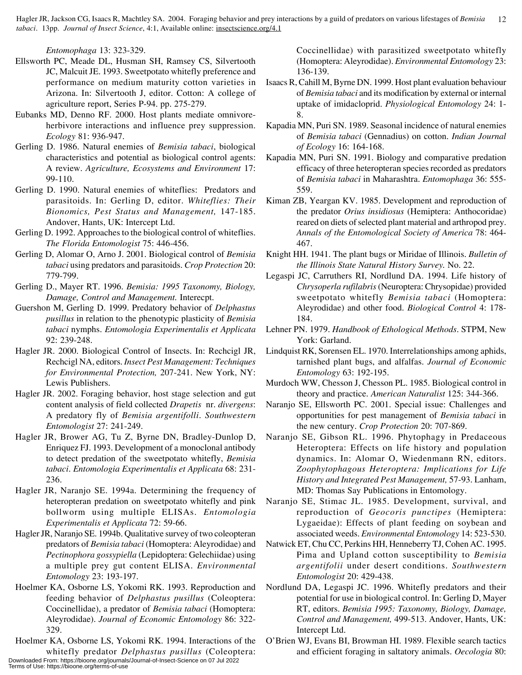Hagler JR, Jackson CG, Isaacs R, Machtley SA. 2004. Foraging behavior and prey interactions by a guild of predators on various lifestages of *Bemisia* 12 *tabaci*. 13pp. *Journal of Insect Science*, 4:1, Available online: insectscience.org/4.1

*Entomophaga* 13: 323-329.

- Ellsworth PC, Meade DL, Husman SH, Ramsey CS, Silvertooth JC, Malcuit JE. 1993. Sweetpotato whitefly preference and performance on medium maturity cotton varieties in Arizona. In: Silvertooth J, editor. Cotton: A college of agriculture report, Series P-94. pp. 275-279.
- Eubanks MD, Denno RF. 2000. Host plants mediate omnivoreherbivore interactions and influence prey suppression. *Ecology* 81: 936-947.
- Gerling D. 1986. Natural enemies of *Bemisia tabaci*, biological characteristics and potential as biological control agents: A review. *Agriculture, Ecosystems and Environment* 17: 99-110.
- Gerling D. 1990. Natural enemies of whiteflies: Predators and parasitoids. In: Gerling D, editor. *Whiteflies: Their Bionomics, Pest Status and Management,* 147-185. Andover, Hants, UK: Intercept Ltd.
- Gerling D. 1992. Approaches to the biological control of whiteflies. *The Florida Entomologist* 75: 446-456.
- Gerling D, Alomar O, Arno J. 2001. Biological control of *Bemisia tabaci* using predators and parasitoids. *Crop Protection* 20: 779-799.
- Gerling D., Mayer RT. 1996. *Bemisia: 1995 Taxonomy, Biology, Damage, Control and Management.* Interecpt.
- Guershon M, Gerling D. 1999. Predatory behavior of *Delphastus pusillus* in relation to the phenotypic plasticity of *Bemisia tabaci* nymphs. *Entomologia Experimentalis et Applicata* 92: 239-248.
- Hagler JR. 2000. Biological Control of Insects. In: Rechcigl JR, Rechcigl NA, editors. *Insect Pest Management: Techniques for Environmental Protection,* 207-241. New York, NY: Lewis Publishers.
- Hagler JR. 2002. Foraging behavior, host stage selection and gut content analysis of field collected *Drapetis* nr. *divergens*: A predatory fly of *Bemisia argentifolli*. *Southwestern Entomologist* 27: 241-249.
- Hagler JR, Brower AG, Tu Z, Byrne DN, Bradley-Dunlop D, Enriquez FJ. 1993. Development of a monoclonal antibody to detect predation of the sweetpotato whitefly, *Bemisia tabaci*. *Entomologia Experimentalis et Applicata* 68: 231- 236.
- Hagler JR, Naranjo SE. 1994a. Determining the frequency of heteropteran predation on sweetpotato whitefly and pink bollworm using multiple ELISAs. *Entomologia Experimentalis et Applicata* 72: 59-66.
- Hagler JR, Naranjo SE. 1994b. Qualitative survey of two coleopteran predators of *Bemisia tabaci* (Homoptera: Aleyrodidae) and *Pectinophora gossypiella* (Lepidoptera: Gelechiidae) using a multiple prey gut content ELISA. *Environmental Entomology* 23: 193-197.
- Hoelmer KA, Osborne LS, Yokomi RK. 1993. Reproduction and feeding behavior of *Delphastus pusillus* (Coleoptera: Coccinellidae), a predator of *Bemisia tabaci* (Homoptera: Aleyrodidae). *Journal of Economic Entomology* 86: 322- 329.
- Hoelmer KA, Osborne LS, Yokomi RK. 1994. Interactions of the whitefly predator *Delphastus pusillus* (Coleoptera: Downloaded From: https://bioone.org/journals/Journal-of-Insect-Science on 07 Jul 2022

Terms of Use: https://bioone.org/terms-of-use

Coccinellidae) with parasitized sweetpotato whitefly (Homoptera: Aleyrodidae). *Environmental Entomology* 23: 136-139.

- Isaacs R, Cahill M, Byrne DN. 1999. Host plant evaluation behaviour of *Bemisia tabaci* and its modification by external or internal uptake of imidacloprid. *Physiological Entomology* 24: 1- 8.
- Kapadia MN, Puri SN. 1989. Seasonal incidence of natural enemies of *Bemisia tabaci* (Gennadius) on cotton. *Indian Journal of Ecology* 16: 164-168.
- Kapadia MN, Puri SN. 1991. Biology and comparative predation efficacy of three heteropteran species recorded as predators of *Bemisia tabaci* in Maharashtra. *Entomophaga* 36: 555- 559.
- Kiman ZB, Yeargan KV. 1985. Development and reproduction of the predator *Orius insidiosus* (Hemiptera: Anthocoridae) reared on diets of selected plant material and arthropod prey. *Annals of the Entomological Society of America* 78: 464- 467.
- Knight HH. 1941. The plant bugs or Miridae of Illinois. *Bulletin of the Illinois State Natural History Survey.* No. 22.
- Legaspi JC, Carruthers RI, Nordlund DA. 1994. Life history of *Chrysoperla rufilabris* (Neuroptera: Chrysopidae) provided sweetpotato whitefly *Bemisia tabaci* (Homoptera: Aleyrodidae) and other food. *Biological Control* 4: 178- 184.
- Lehner PN. 1979. *Handbook of Ethological Methods*. STPM, New York: Garland.
- Lindquist RK, Sorensen EL. 1970. Interrelationships among aphids, tarnished plant bugs, and alfalfas. *Journal of Economic Entomology* 63: 192-195.
- Murdoch WW, Chesson J, Chesson PL. 1985. Biological control in theory and practice. *American Naturalist* 125: 344-366.
- Naranjo SE, Ellsworth PC. 2001. Special issue: Challenges and opportunities for pest management of *Bemisia tabaci* in the new century. *Crop Protection* 20: 707-869.
- Naranjo SE, Gibson RL. 1996. Phytophagy in Predaceous Heteroptera: Effects on life history and population dynamics. In: Alomar O, Wiedenmann RN, editors. *Zoophytophagous Heteroptera: Implications for Life History and Integrated Pest Management,* 57-93. Lanham, MD: Thomas Say Publications in Entomology.
- Naranjo SE, Stimac JL. 1985. Development, survival, and reproduction of *Geocoris punctipes* (Hemiptera: Lygaeidae): Effects of plant feeding on soybean and associated weeds. *Environmental Entomology* 14: 523-530.
- Natwick ET, Chu CC, Perkins HH, Henneberry TJ, Cohen AC. 1995. Pima and Upland cotton susceptibility to *Bemisia argentifolii* under desert conditions. *Southwestern Entomologist* 20: 429-438.
- Nordlund DA, Legaspi JC. 1996. Whitefly predators and their potential for use in biological control. In: Gerling D, Mayer RT, editors. *Bemisia 1995: Taxonomy, Biology, Damage, Control and Management,* 499-513. Andover, Hants, UK: Intercept Ltd.
- O'Brien WJ, Evans BI, Browman HI. 1989. Flexible search tactics and efficient foraging in saltatory animals. *Oecologia* 80: